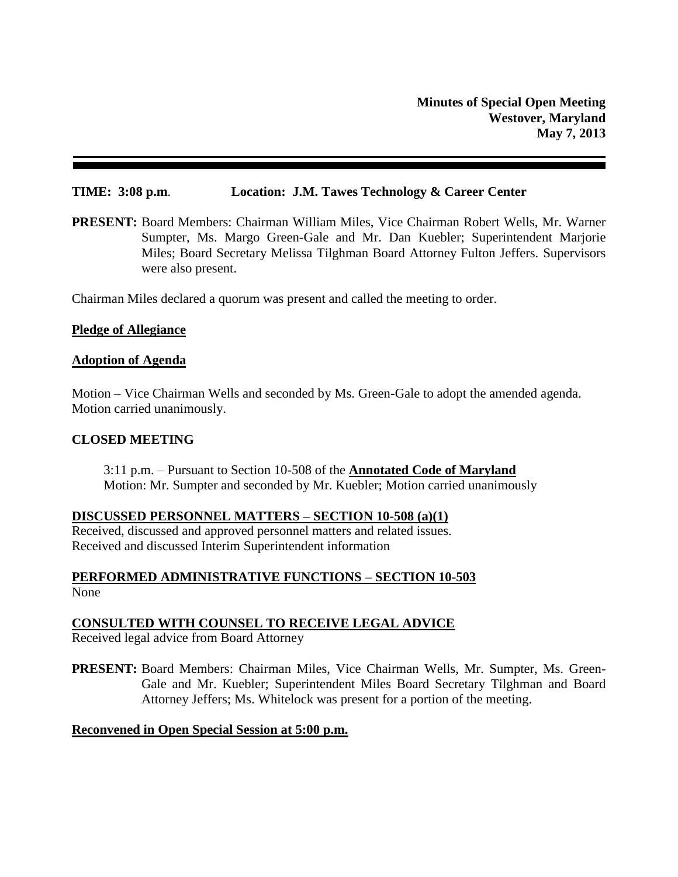#### **TIME: 3:08 p.m**. **Location: J.M. Tawes Technology & Career Center**

**PRESENT:** Board Members: Chairman William Miles, Vice Chairman Robert Wells, Mr. Warner Sumpter, Ms. Margo Green-Gale and Mr. Dan Kuebler; Superintendent Marjorie Miles; Board Secretary Melissa Tilghman Board Attorney Fulton Jeffers. Supervisors were also present.

Chairman Miles declared a quorum was present and called the meeting to order.

#### **Pledge of Allegiance**

#### **Adoption of Agenda**

Motion – Vice Chairman Wells and seconded by Ms. Green-Gale to adopt the amended agenda. Motion carried unanimously.

#### **CLOSED MEETING**

3:11 p.m. – Pursuant to Section 10-508 of the **Annotated Code of Maryland** Motion: Mr. Sumpter and seconded by Mr. Kuebler; Motion carried unanimously

#### **DISCUSSED PERSONNEL MATTERS – SECTION 10-508 (a)(1)**

Received, discussed and approved personnel matters and related issues. Received and discussed Interim Superintendent information

# **PERFORMED ADMINISTRATIVE FUNCTIONS – SECTION 10-503** None

# **CONSULTED WITH COUNSEL TO RECEIVE LEGAL ADVICE**

Received legal advice from Board Attorney

**PRESENT:** Board Members: Chairman Miles, Vice Chairman Wells, Mr. Sumpter, Ms. Green-Gale and Mr. Kuebler; Superintendent Miles Board Secretary Tilghman and Board Attorney Jeffers; Ms. Whitelock was present for a portion of the meeting.

# **Reconvened in Open Special Session at 5:00 p.m.**